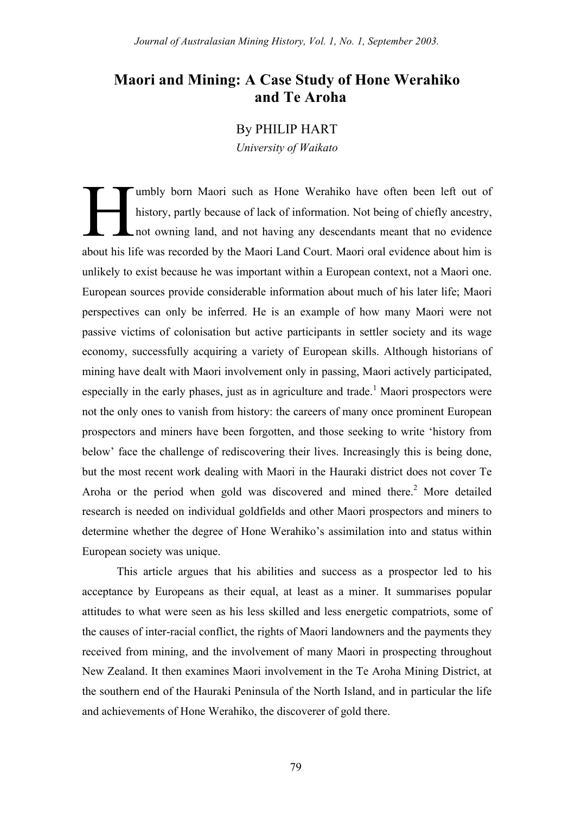# **Maori and Mining: A Case Study of Hone Werahiko and Te Aroha**

## By PHILIP HART

*University of Waikato*

umbly born Maori such as Hone Werahiko have often been left out of history, partly because of lack of information. Not being of chiefly ancestry, not owning land, and not having any descendants meant that no evidence about his life was recorded by the Maori Land Court. Maori oral evidence about him is unlikely to exist because he was important within a European context, not a Maori one. European sources provide considerable information about much of his later life; Maori perspectives can only be inferred. He is an example of how many Maori were not passive victims of colonisation but active participants in settler society and its wage economy, successfully acquiring a variety of European skills. Although historians of mining have dealt with Maori involvement only in passing, Maori actively participated, especially in the early phases, just as in agriculture and trade.<sup>1</sup> Maori prospectors were not the only ones to vanish from history: the careers of many once prominent European prospectors and miners have been forgotten, and those seeking to write 'history from below' face the challenge of rediscovering their lives. Increasingly this is being done, but the most recent work dealing with Maori in the Hauraki district does not cover Te Aroha or the period when gold was discovered and mined there.<sup>2</sup> More detailed research is needed on individual goldfields and other Maori prospectors and miners to determine whether the degree of Hone Werahiko's assimilation into and status within European society was unique. H

This article argues that his abilities and success as a prospector led to his acceptance by Europeans as their equal, at least as a miner. It summarises popular attitudes to what were seen as his less skilled and less energetic compatriots, some of the causes of inter-racial conflict, the rights of Maori landowners and the payments they received from mining, and the involvement of many Maori in prospecting throughout New Zealand. It then examines Maori involvement in the Te Aroha Mining District, at the southern end of the Hauraki Peninsula of the North Island, and in particular the life and achievements of Hone Werahiko, the discoverer of gold there.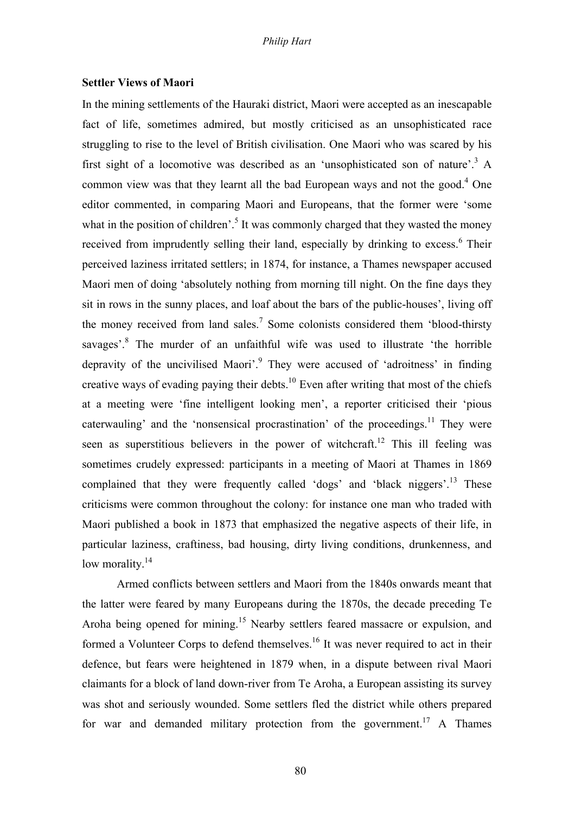## **Settler Views of Maori**

In the mining settlements of the Hauraki district, Maori were accepted as an inescapable fact of life, sometimes admired, but mostly criticised as an unsophisticated race struggling to rise to the level of British civilisation. One Maori who was scared by his first sight of a locomotive was described as an 'unsophisticated son of nature'.<sup>3</sup> A common view was that they learnt all the bad European ways and not the good. $4$  One editor commented, in comparing Maori and Europeans, that the former were 'some what in the position of children'.<sup>5</sup> It was commonly charged that they wasted the money received from imprudently selling their land, especially by drinking to excess.<sup>6</sup> Their perceived laziness irritated settlers; in 1874, for instance, a Thames newspaper accused Maori men of doing 'absolutely nothing from morning till night. On the fine days they sit in rows in the sunny places, and loaf about the bars of the public-houses', living off the money received from land sales.<sup>7</sup> Some colonists considered them 'blood-thirsty savages<sup>'.8</sup> The murder of an unfaithful wife was used to illustrate 'the horrible depravity of the uncivilised Maori'.<sup>9</sup> They were accused of 'adroitness' in finding creative ways of evading paying their debts.<sup>10</sup> Even after writing that most of the chiefs at a meeting were 'fine intelligent looking men', a reporter criticised their 'pious caterwauling' and the 'nonsensical procrastination' of the proceedings.<sup>11</sup> They were seen as superstitious believers in the power of witchcraft.<sup>12</sup> This ill feeling was sometimes crudely expressed: participants in a meeting of Maori at Thames in 1869 complained that they were frequently called 'dogs' and 'black niggers'.<sup>13</sup> These criticisms were common throughout the colony: for instance one man who traded with Maori published a book in 1873 that emphasized the negative aspects of their life, in particular laziness, craftiness, bad housing, dirty living conditions, drunkenness, and low morality. $14$ 

Armed conflicts between settlers and Maori from the 1840s onwards meant that the latter were feared by many Europeans during the 1870s, the decade preceding Te Aroha being opened for mining.<sup>15</sup> Nearby settlers feared massacre or expulsion, and formed a Volunteer Corps to defend themselves.<sup>16</sup> It was never required to act in their defence, but fears were heightened in 1879 when, in a dispute between rival Maori claimants for a block of land down-river from Te Aroha, a European assisting its survey was shot and seriously wounded. Some settlers fled the district while others prepared for war and demanded military protection from the government.<sup>17</sup> A Thames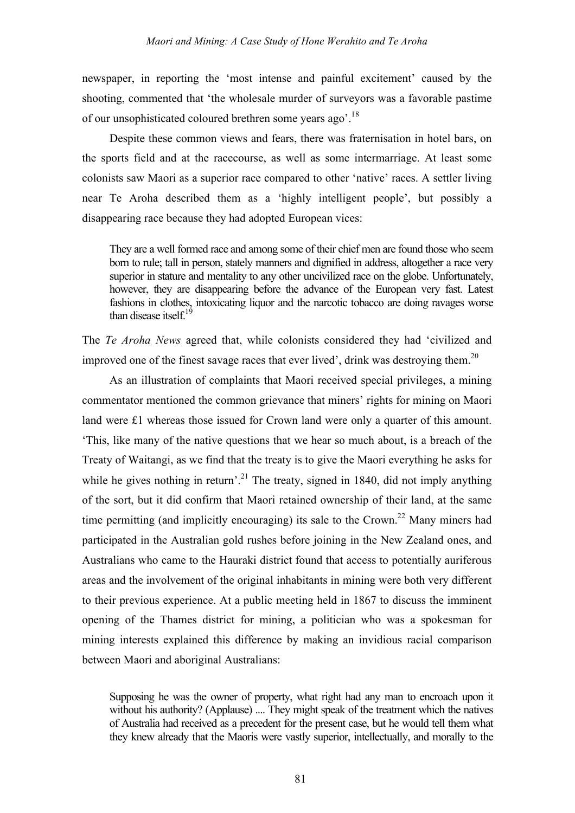newspaper, in reporting the 'most intense and painful excitement' caused by the shooting, commented that 'the wholesale murder of surveyors was a favorable pastime of our unsophisticated coloured brethren some years ago'.<sup>18</sup>

Despite these common views and fears, there was fraternisation in hotel bars, on the sports field and at the racecourse, as well as some intermarriage. At least some colonists saw Maori as a superior race compared to other 'native' races. A settler living near Te Aroha described them as a 'highly intelligent people', but possibly a disappearing race because they had adopted European vices:

They are a well formed race and among some of their chief men are found those who seem born to rule; tall in person, stately manners and dignified in address, altogether a race very superior in stature and mentality to any other uncivilized race on the globe. Unfortunately, however, they are disappearing before the advance of the European very fast. Latest fashions in clothes, intoxicating liquor and the narcotic tobacco are doing ravages worse than disease itself.<sup>19</sup>

The *Te Aroha News* agreed that, while colonists considered they had 'civilized and improved one of the finest savage races that ever lived', drink was destroying them.<sup>20</sup>

As an illustration of complaints that Maori received special privileges, a mining commentator mentioned the common grievance that miners' rights for mining on Maori land were £1 whereas those issued for Crown land were only a quarter of this amount. 'This, like many of the native questions that we hear so much about, is a breach of the Treaty of Waitangi, as we find that the treaty is to give the Maori everything he asks for while he gives nothing in return'.<sup>21</sup> The treaty, signed in 1840, did not imply anything of the sort, but it did confirm that Maori retained ownership of their land, at the same time permitting (and implicitly encouraging) its sale to the Crown.<sup>22</sup> Many miners had participated in the Australian gold rushes before joining in the New Zealand ones, and Australians who came to the Hauraki district found that access to potentially auriferous areas and the involvement of the original inhabitants in mining were both very different to their previous experience. At a public meeting held in 1867 to discuss the imminent opening of the Thames district for mining, a politician who was a spokesman for mining interests explained this difference by making an invidious racial comparison between Maori and aboriginal Australians:

Supposing he was the owner of property, what right had any man to encroach upon it without his authority? (Applause) .... They might speak of the treatment which the natives of Australia had received as a precedent for the present case, but he would tell them what they knew already that the Maoris were vastly superior, intellectually, and morally to the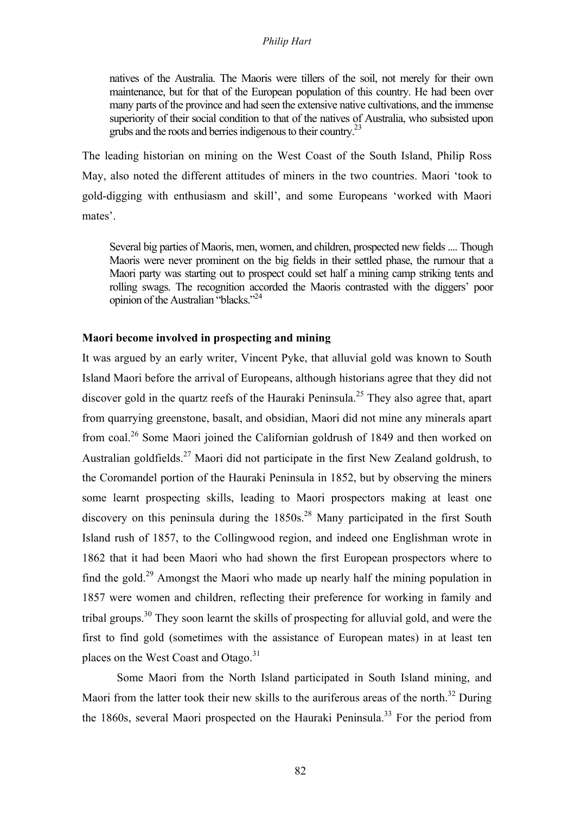natives of the Australia. The Maoris were tillers of the soil, not merely for their own maintenance, but for that of the European population of this country. He had been over many parts of the province and had seen the extensive native cultivations, and the immense superiority of their social condition to that of the natives of Australia, who subsisted upon grubs and the roots and berries indigenous to their country.<sup>23</sup>

The leading historian on mining on the West Coast of the South Island, Philip Ross May, also noted the different attitudes of miners in the two countries. Maori 'took to gold-digging with enthusiasm and skill', and some Europeans 'worked with Maori mates'.

Several big parties of Maoris, men, women, and children, prospected new fields.... Though Maoris were never prominent on the big fields in their settled phase, the rumour that a Maori party was starting out to prospect could set half a mining camp striking tents and rolling swags. The recognition accorded the Maoris contrasted with the diggers' poor opinion of the Australian "blacks."<sup>24</sup>

# **Maori become involved in prospecting and mining**

It was argued by an early writer, Vincent Pyke, that alluvial gold was known to South Island Maori before the arrival of Europeans, although historians agree that they did not discover gold in the quartz reefs of the Hauraki Peninsula.<sup>25</sup> They also agree that, apart from quarrying greenstone, basalt, and obsidian, Maori did not mine any minerals apart from coal.<sup>26</sup> Some Maori joined the Californian goldrush of 1849 and then worked on Australian goldfields.<sup>27</sup> Maori did not participate in the first New Zealand goldrush, to the Coromandel portion of the Hauraki Peninsula in 1852, but by observing the miners some learnt prospecting skills, leading to Maori prospectors making at least one discovery on this peninsula during the  $1850s^{28}$  Many participated in the first South Island rush of 1857, to the Collingwood region, and indeed one Englishman wrote in 1862 that it had been Maori who had shown the first European prospectors where to find the gold.<sup>29</sup> Amongst the Maori who made up nearly half the mining population in 1857 were women and children, reflecting their preference for working in family and tribal groups.<sup>30</sup> They soon learnt the skills of prospecting for alluvial gold, and were the first to find gold (sometimes with the assistance of European mates) in at least ten places on the West Coast and Otago.<sup>31</sup>

Some Maori from the North Island participated in South Island mining, and Maori from the latter took their new skills to the auriferous areas of the north.<sup>32</sup> During the 1860s, several Maori prospected on the Hauraki Peninsula.<sup>33</sup> For the period from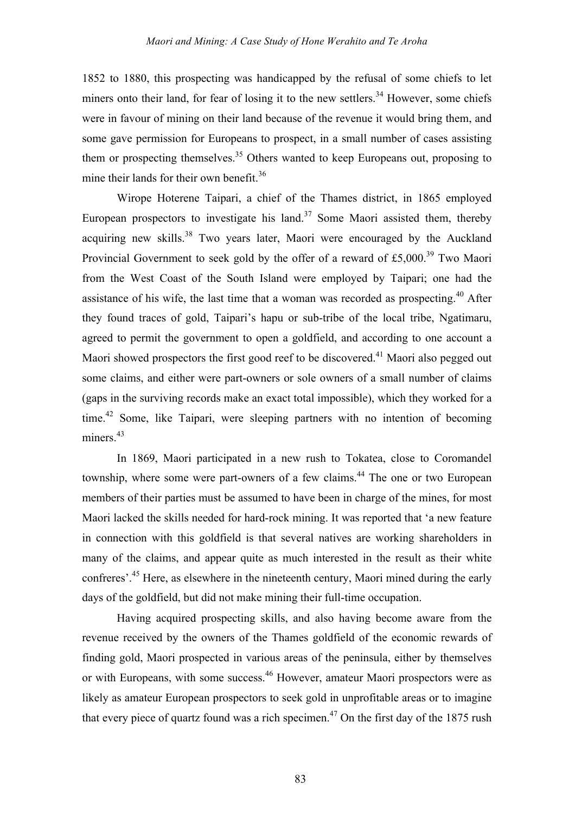1852 to 1880, this prospecting was handicapped by the refusal of some chiefs to let miners onto their land, for fear of losing it to the new settlers.<sup>34</sup> However, some chiefs were in favour of mining on their land because of the revenue it would bring them, and some gave permission for Europeans to prospect, in a small number of cases assisting them or prospecting themselves.<sup>35</sup> Others wanted to keep Europeans out, proposing to mine their lands for their own benefit.<sup>36</sup>

Wirope Hoterene Taipari, a chief of the Thames district, in 1865 employed European prospectors to investigate his land.<sup>37</sup> Some Maori assisted them, thereby acquiring new skills.<sup>38</sup> Two years later, Maori were encouraged by the Auckland Provincial Government to seek gold by the offer of a reward of £5,000.<sup>39</sup> Two Maori from the West Coast of the South Island were employed by Taipari; one had the assistance of his wife, the last time that a woman was recorded as prospecting.<sup>40</sup> After they found traces of gold, Taipari's hapu or sub-tribe of the local tribe, Ngatimaru, agreed to permit the government to open a goldfield, and according to one account a Maori showed prospectors the first good reef to be discovered.<sup>41</sup> Maori also pegged out some claims, and either were part-owners or sole owners of a small number of claims (gaps in the surviving records make an exact total impossible), which they worked for a time.<sup>42</sup> Some, like Taipari, were sleeping partners with no intention of becoming miners.<sup>43</sup>

In 1869, Maori participated in a new rush to Tokatea, close to Coromandel township, where some were part-owners of a few claims.<sup>44</sup> The one or two European members of their parties must be assumed to have been in charge of the mines, for most Maori lacked the skills needed for hard-rock mining. It was reported that 'a new feature in connection with this goldfield is that several natives are working shareholders in many of the claims, and appear quite as much interested in the result as their white confreres'.<sup>45</sup> Here, as elsewhere in the nineteenth century, Maori mined during the early days of the goldfield, but did not make mining their full-time occupation.

Having acquired prospecting skills, and also having become aware from the revenue received by the owners of the Thames goldfield of the economic rewards of finding gold, Maori prospected in various areas of the peninsula, either by themselves or with Europeans, with some success.<sup>46</sup> However, amateur Maori prospectors were as likely as amateur European prospectors to seek gold in unprofitable areas or to imagine that every piece of quartz found was a rich specimen.<sup>47</sup> On the first day of the 1875 rush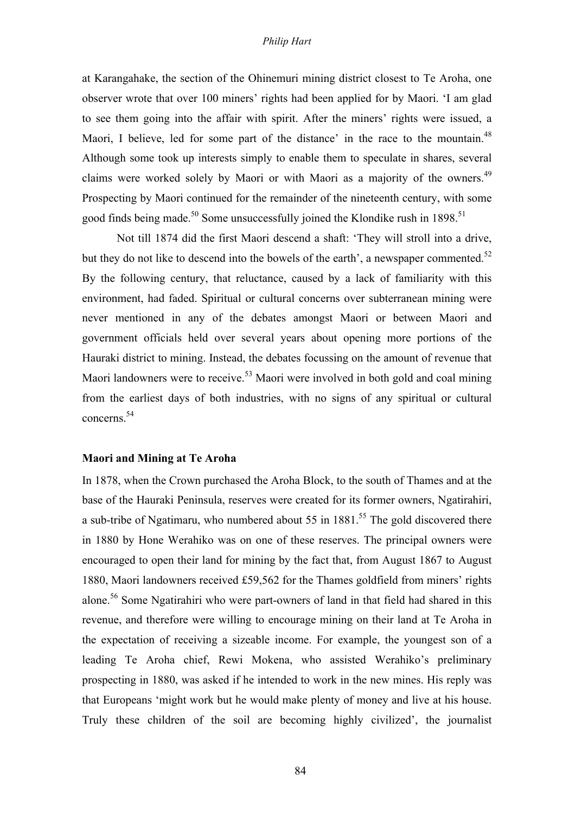at Karangahake, the section of the Ohinemuri mining district closest to Te Aroha, one observer wrote that over 100 miners' rights had been applied for by Maori. 'I am glad to see them going into the affair with spirit. After the miners' rights were issued, a Maori, I believe, led for some part of the distance' in the race to the mountain.<sup>48</sup> Although some took up interests simply to enable them to speculate in shares, several claims were worked solely by Maori or with Maori as a majority of the owners.<sup>49</sup> Prospecting by Maori continued for the remainder of the nineteenth century, with some good finds being made.<sup>50</sup> Some unsuccessfully joined the Klondike rush in  $1898$ .<sup>51</sup>

Not till 1874 did the first Maori descend a shaft: 'They will stroll into a drive, but they do not like to descend into the bowels of the earth', a newspaper commented. $52$ By the following century, that reluctance, caused by a lack of familiarity with this environment, had faded. Spiritual or cultural concerns over subterranean mining were never mentioned in any of the debates amongst Maori or between Maori and government officials held over several years about opening more portions of the Hauraki district to mining. Instead, the debates focussing on the amount of revenue that Maori landowners were to receive.<sup>53</sup> Maori were involved in both gold and coal mining from the earliest days of both industries, with no signs of any spiritual or cultural concerns.54

#### **Maori and Mining at Te Aroha**

In 1878, when the Crown purchased the Aroha Block, to the south of Thames and at the base of the Hauraki Peninsula, reserves were created for its former owners, Ngatirahiri, a sub-tribe of Ngatimaru, who numbered about 55 in  $1881$ <sup>55</sup> The gold discovered there in 1880 by Hone Werahiko was on one of these reserves. The principal owners were encouraged to open their land for mining by the fact that, from August 1867 to August 1880, Maori landowners received £59,562 for the Thames goldfield from miners' rights alone.<sup>56</sup> Some Ngatirahiri who were part-owners of land in that field had shared in this revenue, and therefore were willing to encourage mining on their land at Te Aroha in the expectation of receiving a sizeable income. For example, the youngest son of a leading Te Aroha chief, Rewi Mokena, who assisted Werahiko's preliminary prospecting in 1880, was asked if he intended to work in the new mines. His reply was that Europeans 'might work but he would make plenty of money and live at his house. Truly these children of the soil are becoming highly civilized', the journalist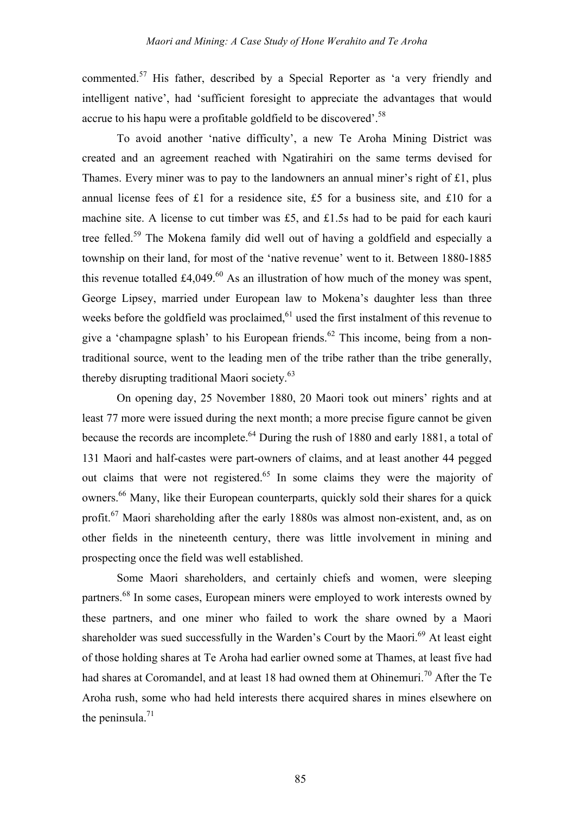commented.<sup>57</sup> His father, described by a Special Reporter as 'a very friendly and intelligent native', had 'sufficient foresight to appreciate the advantages that would accrue to his hapu were a profitable goldfield to be discovered'.<sup>58</sup>

To avoid another 'native difficulty', a new Te Aroha Mining District was created and an agreement reached with Ngatirahiri on the same terms devised for Thames. Every miner was to pay to the landowners an annual miner's right of £1, plus annual license fees of £1 for a residence site, £5 for a business site, and £10 for a machine site. A license to cut timber was £5, and £1.5s had to be paid for each kauri tree felled.<sup>59</sup> The Mokena family did well out of having a goldfield and especially a township on their land, for most of the 'native revenue' went to it. Between 1880-1885 this revenue totalled £4,049.<sup>60</sup> As an illustration of how much of the money was spent, George Lipsey, married under European law to Mokena's daughter less than three weeks before the goldfield was proclaimed,  $61$  used the first instalment of this revenue to give a 'champagne splash' to his European friends.<sup>62</sup> This income, being from a nontraditional source, went to the leading men of the tribe rather than the tribe generally, thereby disrupting traditional Maori society.<sup>63</sup>

On opening day, 25 November 1880, 20 Maori took out miners' rights and at least 77 more were issued during the next month; a more precise figure cannot be given because the records are incomplete.<sup>64</sup> During the rush of 1880 and early 1881, a total of 131 Maori and half-castes were part-owners of claims, and at least another 44 pegged out claims that were not registered.<sup>65</sup> In some claims they were the majority of owners.<sup>66</sup> Many, like their European counterparts, quickly sold their shares for a quick profit.<sup>67</sup> Maori shareholding after the early 1880s was almost non-existent, and, as on other fields in the nineteenth century, there was little involvement in mining and prospecting once the field was well established.

Some Maori shareholders, and certainly chiefs and women, were sleeping partners.<sup>68</sup> In some cases, European miners were employed to work interests owned by these partners, and one miner who failed to work the share owned by a Maori shareholder was sued successfully in the Warden's Court by the Maori.<sup>69</sup> At least eight of those holding shares at Te Aroha had earlier owned some at Thames, at least five had had shares at Coromandel, and at least 18 had owned them at Ohinemuri.<sup>70</sup> After the Te Aroha rush, some who had held interests there acquired shares in mines elsewhere on the peninsula. $^{71}$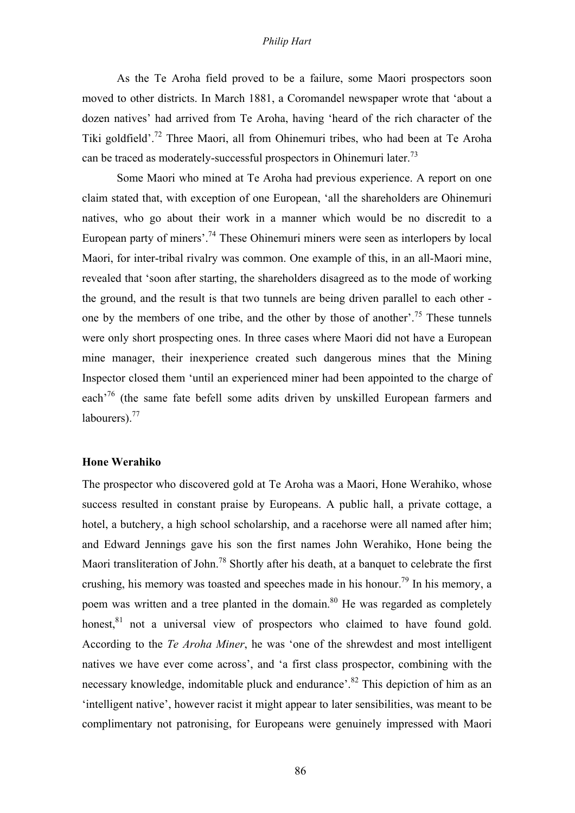As the Te Aroha field proved to be a failure, some Maori prospectors soon moved to other districts. In March 1881, a Coromandel newspaper wrote that 'about a dozen natives' had arrived from Te Aroha, having 'heard of the rich character of the Tiki goldfield'.72 Three Maori, all from Ohinemuri tribes, who had been at Te Aroha can be traced as moderately-successful prospectors in Ohinemuri later.<sup>73</sup>

Some Maori who mined at Te Aroha had previous experience. A report on one claim stated that, with exception of one European, 'all the shareholders are Ohinemuri natives, who go about their work in a manner which would be no discredit to a European party of miners'.<sup>74</sup> These Ohinemuri miners were seen as interlopers by local Maori, for inter-tribal rivalry was common. One example of this, in an all-Maori mine, revealed that 'soon after starting, the shareholders disagreed as to the mode of working the ground, and the result is that two tunnels are being driven parallel to each other one by the members of one tribe, and the other by those of another'.<sup>75</sup> These tunnels were only short prospecting ones. In three cases where Maori did not have a European mine manager, their inexperience created such dangerous mines that the Mining Inspector closed them 'until an experienced miner had been appointed to the charge of each<sup>'76</sup> (the same fate befell some adits driven by unskilled European farmers and labourers). $^{77}$ 

## **Hone Werahiko**

The prospector who discovered gold at Te Aroha was a Maori, Hone Werahiko, whose success resulted in constant praise by Europeans. A public hall, a private cottage, a hotel, a butchery, a high school scholarship, and a racehorse were all named after him; and Edward Jennings gave his son the first names John Werahiko, Hone being the Maori transliteration of John.<sup>78</sup> Shortly after his death, at a banquet to celebrate the first crushing, his memory was toasted and speeches made in his honour.<sup>79</sup> In his memory, a poem was written and a tree planted in the domain.<sup>80</sup> He was regarded as completely honest, $81$  not a universal view of prospectors who claimed to have found gold. According to the *Te Aroha Miner*, he was 'one of the shrewdest and most intelligent natives we have ever come across', and 'a first class prospector, combining with the necessary knowledge, indomitable pluck and endurance<sup>'.82</sup> This depiction of him as an 'intelligent native', however racist it might appear to later sensibilities, was meant to be complimentary not patronising, for Europeans were genuinely impressed with Maori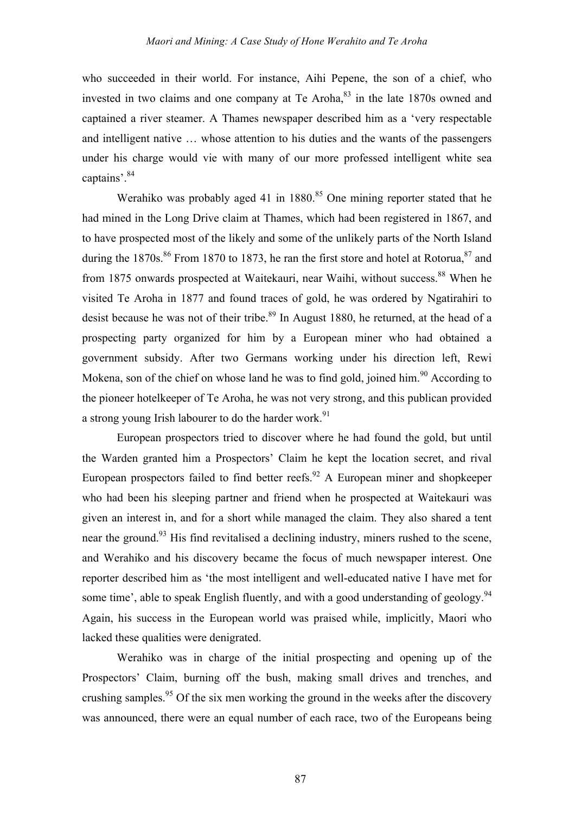who succeeded in their world. For instance, Aihi Pepene, the son of a chief, who invested in two claims and one company at Te Aroha, $83$  in the late 1870s owned and captained a river steamer. A Thames newspaper described him as a 'very respectable and intelligent native … whose attention to his duties and the wants of the passengers under his charge would vie with many of our more professed intelligent white sea captains'.<sup>84</sup>

Werahiko was probably aged 41 in  $1880$ <sup>85</sup> One mining reporter stated that he had mined in the Long Drive claim at Thames, which had been registered in 1867, and to have prospected most of the likely and some of the unlikely parts of the North Island during the 1870s.<sup>86</sup> From 1870 to 1873, he ran the first store and hotel at Rotorua,  $87$  and from 1875 onwards prospected at Waitekauri, near Waihi, without success.<sup>88</sup> When he visited Te Aroha in 1877 and found traces of gold, he was ordered by Ngatirahiri to desist because he was not of their tribe.<sup>89</sup> In August 1880, he returned, at the head of a prospecting party organized for him by a European miner who had obtained a government subsidy. After two Germans working under his direction left, Rewi Mokena, son of the chief on whose land he was to find gold, joined him.<sup>90</sup> According to the pioneer hotelkeeper of Te Aroha, he was not very strong, and this publican provided a strong young Irish labourer to do the harder work.<sup>91</sup>

European prospectors tried to discover where he had found the gold, but until the Warden granted him a Prospectors' Claim he kept the location secret, and rival European prospectors failed to find better reefs.<sup>92</sup> A European miner and shopkeeper who had been his sleeping partner and friend when he prospected at Waitekauri was given an interest in, and for a short while managed the claim. They also shared a tent near the ground.<sup>93</sup> His find revitalised a declining industry, miners rushed to the scene, and Werahiko and his discovery became the focus of much newspaper interest. One reporter described him as 'the most intelligent and well-educated native I have met for some time', able to speak English fluently, and with a good understanding of geology.<sup>94</sup> Again, his success in the European world was praised while, implicitly, Maori who lacked these qualities were denigrated.

Werahiko was in charge of the initial prospecting and opening up of the Prospectors' Claim, burning off the bush, making small drives and trenches, and crushing samples.<sup>95</sup> Of the six men working the ground in the weeks after the discovery was announced, there were an equal number of each race, two of the Europeans being

87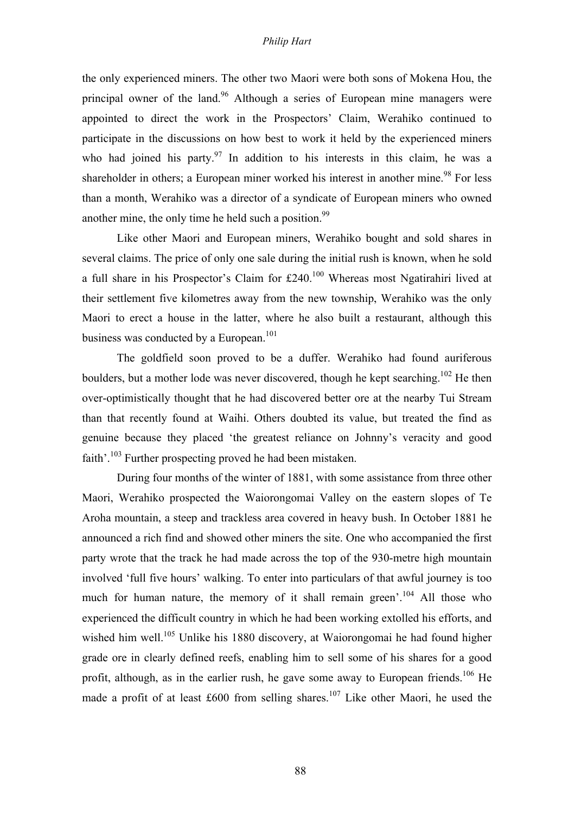the only experienced miners. The other two Maori were both sons of Mokena Hou, the principal owner of the land.<sup>96</sup> Although a series of European mine managers were appointed to direct the work in the Prospectors' Claim, Werahiko continued to participate in the discussions on how best to work it held by the experienced miners who had joined his party.<sup>97</sup> In addition to his interests in this claim, he was a shareholder in others; a European miner worked his interest in another mine.<sup>98</sup> For less than a month, Werahiko was a director of a syndicate of European miners who owned another mine, the only time he held such a position.  $99$ 

Like other Maori and European miners, Werahiko bought and sold shares in several claims. The price of only one sale during the initial rush is known, when he sold a full share in his Prospector's Claim for £240.100 Whereas most Ngatirahiri lived at their settlement five kilometres away from the new township, Werahiko was the only Maori to erect a house in the latter, where he also built a restaurant, although this business was conducted by a European.<sup>101</sup>

The goldfield soon proved to be a duffer. Werahiko had found auriferous boulders, but a mother lode was never discovered, though he kept searching.<sup>102</sup> He then over-optimistically thought that he had discovered better ore at the nearby Tui Stream than that recently found at Waihi. Others doubted its value, but treated the find as genuine because they placed 'the greatest reliance on Johnny's veracity and good faith'.<sup>103</sup> Further prospecting proved he had been mistaken.

During four months of the winter of 1881, with some assistance from three other Maori, Werahiko prospected the Waiorongomai Valley on the eastern slopes of Te Aroha mountain, a steep and trackless area covered in heavy bush. In October 1881 he announced a rich find and showed other miners the site. One who accompanied the first party wrote that the track he had made across the top of the 930-metre high mountain involved 'full five hours' walking. To enter into particulars of that awful journey is too much for human nature, the memory of it shall remain green'.<sup>104</sup> All those who experienced the difficult country in which he had been working extolled his efforts, and wished him well.<sup>105</sup> Unlike his 1880 discovery, at Waiorongomai he had found higher grade ore in clearly defined reefs, enabling him to sell some of his shares for a good profit, although, as in the earlier rush, he gave some away to European friends.<sup>106</sup> He made a profit of at least  $£600$  from selling shares.<sup>107</sup> Like other Maori, he used the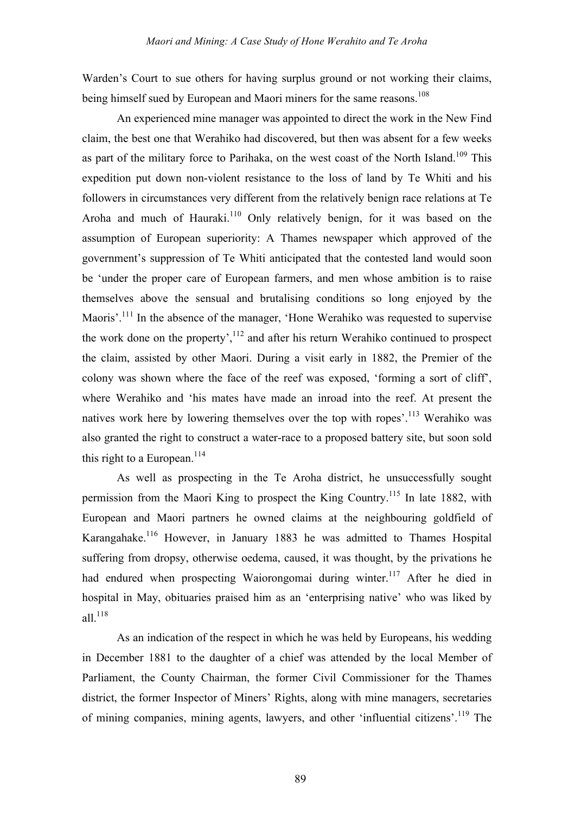Warden's Court to sue others for having surplus ground or not working their claims, being himself sued by European and Maori miners for the same reasons.<sup>108</sup>

An experienced mine manager was appointed to direct the work in the New Find claim, the best one that Werahiko had discovered, but then was absent for a few weeks as part of the military force to Parihaka, on the west coast of the North Island.<sup>109</sup> This expedition put down non-violent resistance to the loss of land by Te Whiti and his followers in circumstances very different from the relatively benign race relations at Te Aroha and much of Hauraki.<sup>110</sup> Only relatively benign, for it was based on the assumption of European superiority: A Thames newspaper which approved of the government's suppression of Te Whiti anticipated that the contested land would soon be 'under the proper care of European farmers, and men whose ambition is to raise themselves above the sensual and brutalising conditions so long enjoyed by the Maoris'.<sup>111</sup> In the absence of the manager, 'Hone Werahiko was requested to supervise the work done on the property',  $^{112}$  and after his return Werahiko continued to prospect the claim, assisted by other Maori. During a visit early in 1882, the Premier of the colony was shown where the face of the reef was exposed, 'forming a sort of cliff', where Werahiko and 'his mates have made an inroad into the reef. At present the natives work here by lowering themselves over the top with ropes'.<sup>113</sup> Werahiko was also granted the right to construct a water-race to a proposed battery site, but soon sold this right to a European.<sup>114</sup>

As well as prospecting in the Te Aroha district, he unsuccessfully sought permission from the Maori King to prospect the King Country.115 In late 1882, with European and Maori partners he owned claims at the neighbouring goldfield of Karangahake.116 However, in January 1883 he was admitted to Thames Hospital suffering from dropsy, otherwise oedema, caused, it was thought, by the privations he had endured when prospecting Waiorongomai during winter.<sup>117</sup> After he died in hospital in May, obituaries praised him as an 'enterprising native' who was liked by all. $118$ 

As an indication of the respect in which he was held by Europeans, his wedding in December 1881 to the daughter of a chief was attended by the local Member of Parliament, the County Chairman, the former Civil Commissioner for the Thames district, the former Inspector of Miners' Rights, along with mine managers, secretaries of mining companies, mining agents, lawyers, and other 'influential citizens'.<sup>119</sup> The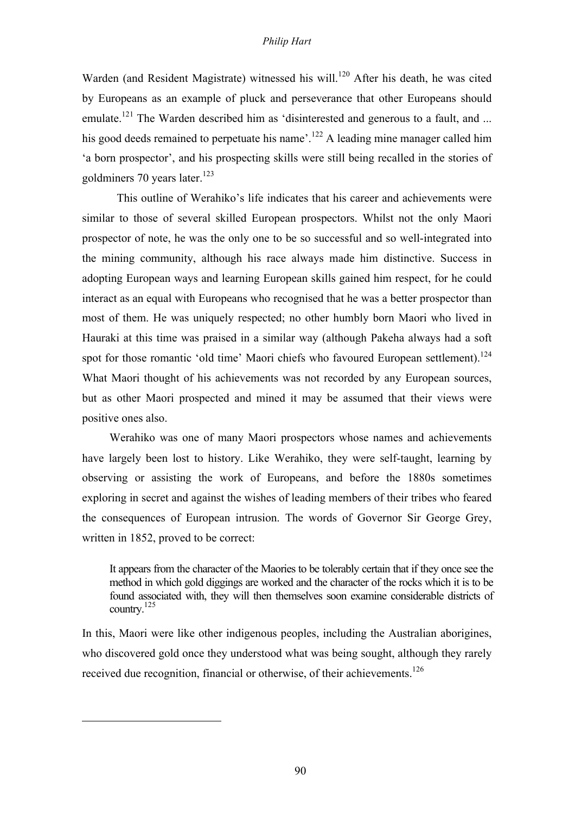Warden (and Resident Magistrate) witnessed his will.<sup>120</sup> After his death, he was cited by Europeans as an example of pluck and perseverance that other Europeans should emulate.<sup>121</sup> The Warden described him as 'disinterested and generous to a fault, and ... his good deeds remained to perpetuate his name'.<sup>122</sup> A leading mine manager called him 'a born prospector', and his prospecting skills were still being recalled in the stories of goldminers 70 years later. $123$ 

This outline of Werahiko's life indicates that his career and achievements were similar to those of several skilled European prospectors. Whilst not the only Maori prospector of note, he was the only one to be so successful and so well-integrated into the mining community, although his race always made him distinctive. Success in adopting European ways and learning European skills gained him respect, for he could interact as an equal with Europeans who recognised that he was a better prospector than most of them. He was uniquely respected; no other humbly born Maori who lived in Hauraki at this time was praised in a similar way (although Pakeha always had a soft spot for those romantic 'old time' Maori chiefs who favoured European settlement).<sup>124</sup> What Maori thought of his achievements was not recorded by any European sources, but as other Maori prospected and mined it may be assumed that their views were positive ones also.

Werahiko was one of many Maori prospectors whose names and achievements have largely been lost to history. Like Werahiko, they were self-taught, learning by observing or assisting the work of Europeans, and before the 1880s sometimes exploring in secret and against the wishes of leading members of their tribes who feared the consequences of European intrusion. The words of Governor Sir George Grey, written in 1852, proved to be correct:

It appears from the character of the Maories to be tolerably certain that if they once see the method in which gold diggings are worked and the character of the rocks which it is to be found associated with, they will then themselves soon examine considerable districts of country. 125

In this, Maori were like other indigenous peoples, including the Australian aborigines, who discovered gold once they understood what was being sought, although they rarely received due recognition, financial or otherwise, of their achievements.<sup>126</sup>

 $\overline{a}$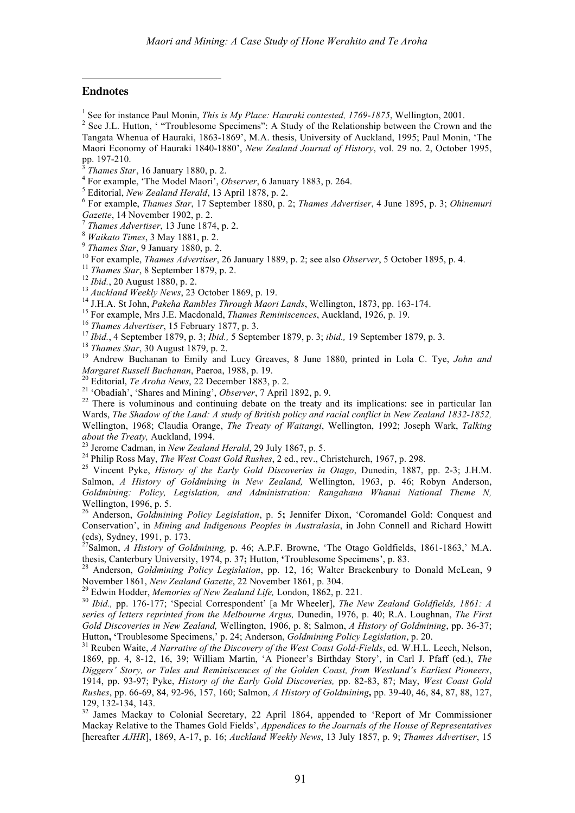## **Endnotes**

 $\overline{a}$ 

<sup>1</sup> See for instance Paul Monin, *This is My Place: Hauraki contested, 1769-1875*, Wellington, 2001.<br><sup>2</sup> See J.L. Hutton, ' "Troublesome Specimens": A Study of the Relationship between the Crown and the

Tangata Whenua of Hauraki, 1863-1869', M.A. thesis, University of Auckland, 1995; Paul Monin, 'The Maori Economy of Hauraki 1840-1880', *New Zealand Journal of History*, vol. 29 no. 2, October 1995,

<sup>3</sup>Thames Star, 16 January 1880, p. 2.<br>
<sup>4</sup> For example, 'The Model Maori', *Observer*, 6 January 1883, p. 264.<br>
<sup>5</sup> Editorial, *New Zealand Herald*, 13 April 1878, p. 2.<br>
<sup>6</sup> For example, *Thames Star*, 17 September 1880 Gazette, 14 November 1902, p. 2.<br>
<sup>9</sup> Thames Advertiser, 13 June 1874, p. 2.<br>
<sup>9</sup> Waikato Times, 3 May 1881, p. 2.<br>
<sup>9</sup> Thames Star, 9 January 1880, p. 2.<br>
<sup>9</sup> Thames Star, 9 January Advertiser, 26 January 1889, p. 2; see

Margaret Russell Buchanan, Paeroa, 1988, p. 19.<br>
<sup>20</sup> Editorial, *Te Aroha News*, 22 December 1883, p. 2.<br>
<sup>21</sup> 'Obadiah', 'Shares and Mining', *Observer*, 7 April 1892, p. 9.<br>
<sup>22</sup> There is voluminous and continuing debat

Wards, *The Shadow of the Land: A study of British policy and racial conflict in New Zealand 1832-1852,* Wellington, 1968; Claudia Orange, *The Treaty of Waitangi*, Wellington, 1992; Joseph Wark, *Talking* about the Treaty, Auckland, 1994.<br><sup>23</sup> Jerome Cadman, in New Zealand Herald, 29 July 1867, p. 5.<br><sup>24</sup> Philip Ross May, *The West Coast Gold Rushes*, 2 ed., rev., Christchurch, 1967, p. 298.<br><sup>25</sup> Vincent Pyke, *History of t* 

Salmon, *A History of Goldmining in New Zealand,* Wellington, 1963, p. 46; Robyn Anderson, *Goldmining: Policy, Legislation, and Administration: Rangahaua Whanui National Theme N,*

<sup>26</sup> Anderson, *Goldmining Policy Legislation*, p. 5; Jennifer Dixon, 'Coromandel Gold: Conquest and Conservation', in *Mining and Indigenous Peoples in Australasia*, in John Connell and Richard Howitt (eds), Sydney, 1991, p. 173. <sup>27</sup> Salmon, *A History of Goldmining,* p. 46; A.P.F. Browne, 'The Otago Goldfields, 1861-1863,' M.A.

thesis, Canterbury University, 1974, p. 37; Hutton, **'Troublesome Specimens'**, p. 83.<br><sup>28</sup> Anderson, *Goldmining Policy Legislation*, pp. 12, 16; Walter Brackenbury to Donald McLean, 9<br>November 1861, *New Zealand Gazette*,

<sup>29</sup> Edwin Hodder, *Memories of New Zealand Life*, London, 1862, p. 221.<br><sup>30</sup> Ibid., pp. 176-177; 'Special Correspondent' [a Mr Wheeler], *The New Zealand Goldfields, 1861: A series of letters reprinted from the Melbourne Argus,* Dunedin, 1976, p. 40; R.A. Loughnan, *The First Gold Discoveries in New Zealand,* Wellington, 1906, p. 8; Salmon, *A History of Goldmining*, pp. 36-37; Hutton, 'Troublesome Specimens,' p. 24; Anderson, Goldmining Policy Legislation, p. 20.<br><sup>31</sup> Reuben Waite, A Narrative of the Discovery of the West Coast Gold-Fields, ed. W.H.L. Leech, Nelson,

1869, pp. 4, 8-12, 16, 39; William Martin, 'A Pioneer's Birthday Story', in Carl J. Pfaff (ed.), *The Diggers' Story, or Tales and Reminiscences of the Golden Coast, from Westland's Earliest Pioneers*, 1914, pp. 93-97; Pyke, *History of the Early Gold Discoveries,* pp. 82-83, 87; May, *West Coast Gold Rushes*, pp. 66-69, 84, 92-96, 157, 160; Salmon, *A History of Goldmining***,** pp. 39-40, 46, 84, 87, 88, 127,

 $132$  James Mackay to Colonial Secretary, 22 April 1864, appended to 'Report of Mr Commissioner Mackay Relative to the Thames Gold Fields', *Appendices to the Journals of the House of Representatives* [hereafter *AJHR*], 1869, A-17, p. 16; *Auckland Weekly News*, 13 July 1857, p. 9; *Thames Advertiser*, 15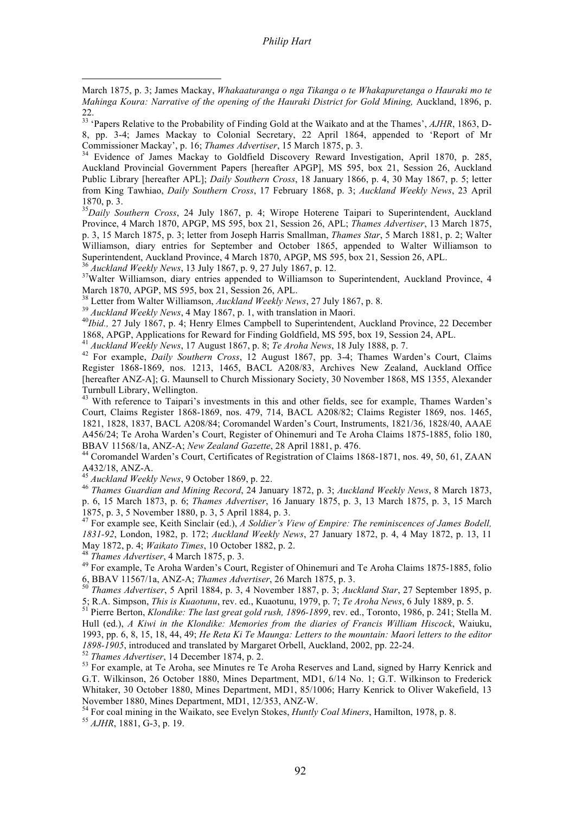March 1875, p. 3; James Mackay, *Whakaaturanga o nga Tikanga o te Whakapuretanga o Hauraki mo te Mahinga Koura: Narrative of the opening of the Hauraki District for Gold Mining,* Auckland, 1896, p. 22.<br><sup>33</sup> 'Papers Relative to the Probability of Finding Gold at the Waikato and at the Thames', *AJHR*, 1863, D-

8, pp. 3-4; James Mackay to Colonial Secretary, 22 April 1864, appended to 'Report of Mr Commissioner Mackay', p. 16; *Thames Advertiser*, 15 March 1875, p. 3.<br><sup>34</sup> Evidence of James Mackay to Goldfield Discovery Reward Investigation, April 1870, p. 285,

Auckland Provincial Government Papers [hereafter APGP], MS 595, box 21, Session 26, Auckland Public Library [hereafter APL]; *Daily Southern Cross*, 18 January 1866, p. 4, 30 May 1867, p. 5; letter from King Tawhiao, *Daily Southern Cross*, 17 February 1868, p. 3; *Auckland Weekly News*, 23 April 1870, p. 3.

*Daily Southern Cross*, 24 July 1867, p. 4; Wirope Hoterene Taipari to Superintendent, Auckland Province, 4 March 1870, APGP, MS 595, box 21, Session 26, APL; *Thames Advertiser*, 13 March 1875, p. 3, 15 March 1875, p. 3; letter from Joseph Harris Smallman, *Thames Star*, 5 March 1881, p. 2; Walter Williamson, diary entries for September and October 1865, appended to Walter Williamson to Superintendent, Auckland Province, <sup>4</sup> March 1870, APGP, MS 595, box 21, Session 26, APL. <sup>36</sup> *Auckland Weekly News*, <sup>13</sup> July 1867, p. 9, <sup>27</sup> July 1867, p. 12. <sup>37</sup>

 $\overline{a}$ 

<sup>37</sup>Walter Williamson, diary entries appended to Williamson to Superintendent, Auckland Province, 4 March 1870, APGP, MS 595, box 21, Session 26, APL.<br><sup>38</sup> Letter from Walter Williamson, *Auckland Weekly News*, 27 July 1867, p. 8.<br><sup>39</sup> Auckland Weekly News, 4 May 1867, p. 1, with translation in Maori.

<sup>40</sup>Ibid., 27 July 1867, p. 4; Henry Elmes Campbell to Superintendent, Auckland Province, 22 December 1868, APGP, Applications for Reward for Finding Goldfield, MS 595, box 19, Session 24, APL.

<sup>41</sup> Auckland Weekly News, 17 August 1867, p. 8; Te Aroha News, 18 July 1888, p. 7.<br><sup>42</sup> For example, *Daily Southern Cross*, 12 August 1867, pp. 3-4; Thames Warden's Court, Claims Register 1868-1869, nos. 1213, 1465, BACL A208/83, Archives New Zealand, Auckland Office [hereafter ANZ-A]; G. Maunsell to Church Missionary Society, 30 November 1868, MS 1355, Alexander

Turnbull Library, Wellington. <sup>43</sup> With reference to Taipari's investments in this and other fields, see for example, Thames Warden's Court, Claims Register 1868-1869, nos. 479, 714, BACL A208/82; Claims Register 1869, nos. 1465, 1821, 1828, 1837, BACL A208/84; Coromandel Warden's Court, Instruments, 1821/36, 1828/40, AAAE A456/24; Te Aroha Warden's Court, Register of Ohinemuri and Te Aroha Claims 1875-1885, folio 180,

BBAV 11568/1a, ANZ-A; *New Zealand Gazette*, 28 April 1881, p. 476.<br><sup>44</sup> Coromandel Warden's Court, Certificates of Registration of Claims 1868-1871, nos. 49, 50, 61, ZAAN<br><sup>45</sup> Auckland Weekly News, 9 October 1869, p. 22.

<sup>46</sup> Thames Guardian and Mining Record, 24 January 1872, p. 3; Auckland Weekly News, 8 March 1873, p. 6, 15 March 1873, p. 6; *Thames Advertiser*, 16 January 1875, p. 3, 13 March 1875, p. 3, 15 March 1875, p. 3, 5 November 1880, p. 3, 5 April 1884, p. 3.<br><sup>47</sup> For example see, Keith Sinclair (ed.), *A Soldier's View of Empire: The reminiscences of James Bodell,* 

*1831-92*, London, 1982, p. 172; *Auckland Weekly News*, 27 January 1872, p. 4, 4 May 1872, p. 13, 11

May 1872, p. 1; *Waikatoo Times, 1973*, p. 3.<br><sup>48</sup> *Thames Advertiser*, 4 March 1875, p. 3. 49 For example, Te Aroha Warden's Court, Register of Ohinemuri and Te Aroha Claims 1875-1885, folio 6, BBAV 11567/1a, ANZ-A; *Thames Advertiser*, <sup>26</sup> March 1875, p. 3. <sup>50</sup> *Thames Advertiser*, <sup>5</sup> April 1884, p. 3, <sup>4</sup> November 1887, p. 3; *Auckland Star*, <sup>27</sup> September 1895, p.

5; R.A. Simpson, *This is Kuaotunu*, rev. ed., Kuaotunu, 1979, p. 7; *Te Aroha News*, 6 July 1889, p. 5.<br><sup>51</sup> Pierre Berton, *Klondike: The last great gold rush, 1896-1899*, rev. ed., Toronto, 1986, p. 241; Stella M.

Hull (ed.), *A Kiwi in the Klondike: Memories from the diaries of Francis William Hiscock*, Waiuku, 1993, pp. 6, 8, 15, 18, 44, 49; *He Reta Ki Te Maunga: Letters to the mountain: Maori letters to the editor* 1898-1905, introduced and translated by Margaret Orbell, Auckland, 2002, pp. 22-24.<br><sup>52</sup> Thames Advertiser, 14 December 1874, p. 2.<br><sup>53</sup> For example, at Te Aroha, see Minutes re Te Aroha Reserves and Land, signed by Harry

G.T. Wilkinson, 26 October 1880, Mines Department, MD1, 6/14 No. 1; G.T. Wilkinson to Frederick Whitaker, 30 October 1880, Mines Department, MD1, 85/1006; Harry Kenrick to Oliver Wakefield, 13

November 1880, Mines Department, MD1, 12/353, ANZ-W. <sup>54</sup> For coal mining in the Waikato, see Evelyn Stokes, *Huntly Coal Miners*, Hamilton, 1978, p. 8. <sup>55</sup> *AJHR*, 1881, G-3, p. 19.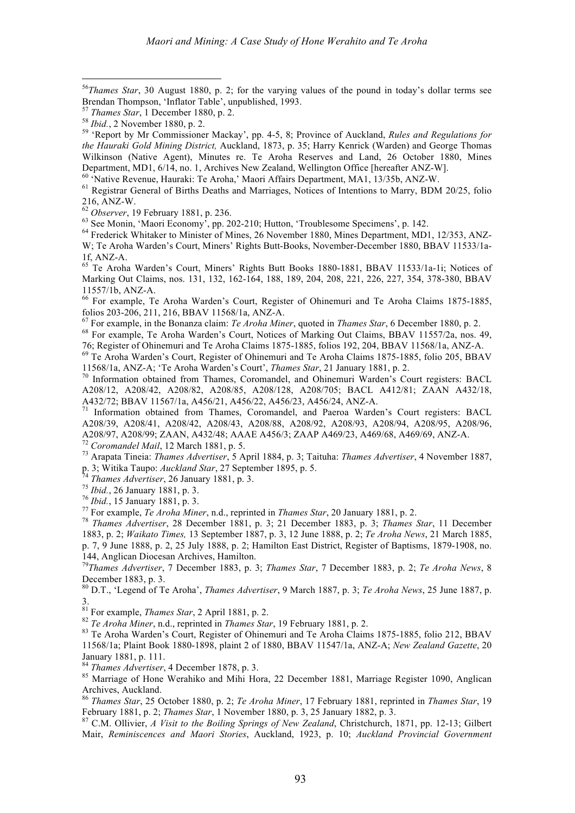56 *Thames Star*, 30 August 1880, p. 2; for the varying values of the pound in today's dollar terms see Brendan Thompson, 'Inflator Table', unpublished, 1993.<br>
<sup>57</sup> Thames Star, 1 December 1880, p. 2.<br>
<sup>58</sup> Ibid., 2 November 1880, p. 2.<br>
<sup>58</sup> 'Report by Mr Commissioner Mackay', pp. 4-5, 8; Province of Auckland, *Rules and R* 

*the Hauraki Gold Mining District,* Auckland, 1873, p. 35; Harry Kenrick (Warden) and George Thomas Wilkinson (Native Agent), Minutes re. Te Aroha Reserves and Land, 26 October 1880, Mines

Department, MD1, 6/14, no. 1, Archives New Zealand, Wellington Office [hereafter ANZ-W].<br><sup>60</sup> 'Native Revenue, Hauraki: Te Aroha,' Maori Affairs Department, MA1, 13/35b, ANZ-W.<br><sup>61</sup> Registrar General of Births Deaths and M

 $^{63}$  See Monin, 'Maori Economy', pp. 202-210; Hutton, 'Troublesome Specimens', p. 142.<br> $^{64}$  Frederick Whitaker to Minister of Mines, 26 November 1880, Mines Department, MD1, 12/353, ANZ-W; Te Aroha Warden's Court, Miners' Rights Butt-Books, November-December 1880, BBAV 11533/1a-

1f, ANZ-A. <sup>65</sup> Te Aroha Warden's Court, Miners' Rights Butt Books 1880-1881, BBAV 11533/1a-1i; Notices of Marking Out Claims, nos. 131, 132, 162-164, 188, 189, 204, 208, 221, 226, 227, 354, 378-380, BBAV

11557/1b, ANZ-A.<br><sup>66</sup> For example, Te Aroha Warden's Court, Register of Ohinemuri and Te Aroha Claims 1875-1885, folios 203-206, 211, 216, BBAV 11568/1a, ANZ-A.

<sup>67</sup> For example, in the Bonanza claim: *Te Aroha Miner*, quoted in *Thames Star*, 6 December 1880, p. 2.<br><sup>68</sup> For example, Te Aroha Warden's Court, Notices of Marking Out Claims, BBAV 11557/2a, nos. 49,<br>76: Register of O

<sup>69</sup> Te Aroha Warden's Court, Register of Ohinemuri and Te Aroha Claims 1875-1885, folio 205, BBAV 11568/1a, ANZ-A: 'Te Aroha Warden's Court', *Thames Star*, 21 January 1881, p. 2.

<sup>70</sup> Information obtained from Thames, Coromandel, and Ohinemuri Warden's Court registers: BACL A208/12, A208/42, A208/82, A208/85, A208/128, A208/705; BACL A412/81; ZAAN A432/18, A432/72; BBAV 11567/1a, A456/21, A456/22, A456/23, A456/24, ANZ-A.<br><sup>71</sup> Information obtained from Thames, Coromandel, and Paeroa Warden's Court registers: BACL

A208/39, A208/41, A208/42, A208/43, A208/88, A208/92, A208/93, A208/94, A208/95, A208/96,

A208/97, A208/99; ZAAN, A432/48; AAAE A456/3; ZAAP A469/23, A469/68, A469/69, ANZ-A.<br><sup>72</sup> Coromandel Mail, 12 March 1881, p. 5.<br><sup>73</sup> Arapata Tineia: *Thames Advertiser*, 5 April 1884, p. 3; Taituha: *Thames Advertiser*, 4

<sup>74</sup> Thames Advertiser, 26 January 1881, p. 3.<br>
<sup>75</sup> Ibid., 26 January 1881, p. 3.<br>
<sup>76</sup> Ibid., 15 January 1881, p. 3.<br>
<sup>77</sup> For example, *Te Aroha Miner*, n.d., reprinted in *Thames Star*, 20 January 1881, p. 2.<br>
<sup>78</sup> Th 1883, p. 2; *Waikato Times,* 13 September 1887, p. 3, 12 June 1888, p. 2; *Te Aroha News*, 21 March 1885, p. 7, 9 June 1888, p. 2, 25 July 1888, p. 2; Hamilton East District, Register of Baptisms, 1879-1908, no. 144, Anglican Diocesan Archives, Hamilton.

*Thames Advertiser*, 7 December 1883, p. 3; *Thames Star*, 7 December 1883, p. 2; *Te Aroha News*, 8

December 1883, p. 3. <sup>80</sup> D.T., 'Legend of Te Aroha', *Thames Advertiser*, <sup>9</sup> March 1887, p. 3; *Te Aroha News*, <sup>25</sup> June 1887, p.

 $3.$ <sup>81</sup> For example, *Thames Star*, 2 April 1881, p. 2.

 $^{82}$  Te Aroha Miner, n.d., reprinted in *Thames Star*, 19 February 1881, p. 2.<br><sup>83</sup> Te Aroha Warden's Court, Register of Ohinemuri and Te Aroha Claims 1875-1885, folio 212, BBAV 11568/1a; Plaint Book 1880-1898, plaint 2 of 1880, BBAV 11547/1a, ANZ-A; *New Zealand Gazette*, 20

<sup>84</sup> *Thames Advertiser*, 4 December 1878, p. 3.<br><sup>85</sup> Marriage of Hone Werahiko and Mihi Hora, 22 December 1881, Marriage Register 1090, Anglican

Archives, Auckland. <sup>86</sup> *Thames Star*, <sup>25</sup> October 1880, p. 2; *Te Aroha Miner*, <sup>17</sup> February 1881, reprinted in *Thames Star*, <sup>19</sup> February 1881, p. 2; *Thames Star*, 1 November 1880, p. 3, 25 January 1882, p. 3.<br><sup>87</sup> C.M. Ollivier, *A Visit to the Boiling Springs of New Zealand*, Christchurch, 1871, pp. 12-13; Gilbert

Mair, *Reminiscences and Maori Stories*, Auckland, 1923, p. 10; *Auckland Provincial Government*